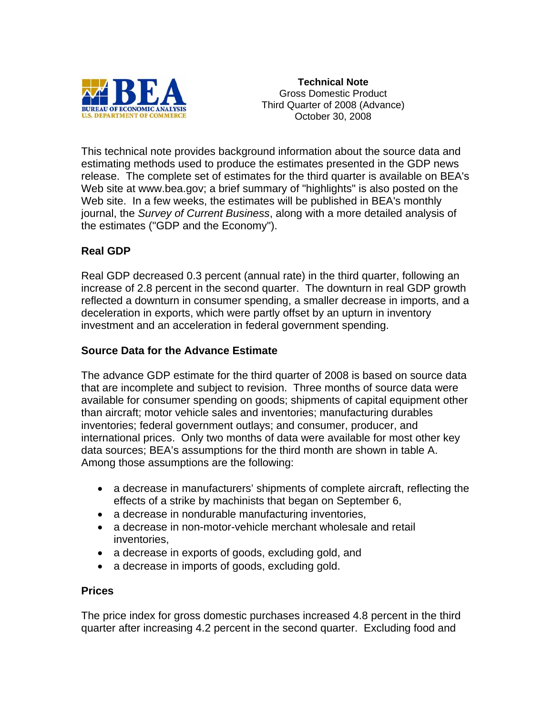

**Technical Note**  Gross Domestic Product Third Quarter of 2008 (Advance) October 30, 2008

This technical note provides background information about the source data and estimating methods used to produce the estimates presented in the GDP news release. The complete set of estimates for the third quarter is available on BEA's Web site at www.bea.gov; a brief summary of "highlights" is also posted on the Web site. In a few weeks, the estimates will be published in BEA's monthly journal, the *Survey of Current Business*, along with a more detailed analysis of the estimates ("GDP and the Economy").

# **Real GDP**

Real GDP decreased 0.3 percent (annual rate) in the third quarter, following an increase of 2.8 percent in the second quarter. The downturn in real GDP growth reflected a downturn in consumer spending, a smaller decrease in imports, and a deceleration in exports, which were partly offset by an upturn in inventory investment and an acceleration in federal government spending.

# **Source Data for the Advance Estimate**

The advance GDP estimate for the third quarter of 2008 is based on source data that are incomplete and subject to revision. Three months of source data were available for consumer spending on goods; shipments of capital equipment other than aircraft; motor vehicle sales and inventories; manufacturing durables inventories; federal government outlays; and consumer, producer, and international prices. Only two months of data were available for most other key data sources; BEA's assumptions for the third month are shown in table A. Among those assumptions are the following:

- a decrease in manufacturers' shipments of complete aircraft, reflecting the effects of a strike by machinists that began on September 6,
- a decrease in nondurable manufacturing inventories,
- a decrease in non-motor-vehicle merchant wholesale and retail inventories,
- a decrease in exports of goods, excluding gold, and
- a decrease in imports of goods, excluding gold.

### **Prices**

The price index for gross domestic purchases increased 4.8 percent in the third quarter after increasing 4.2 percent in the second quarter. Excluding food and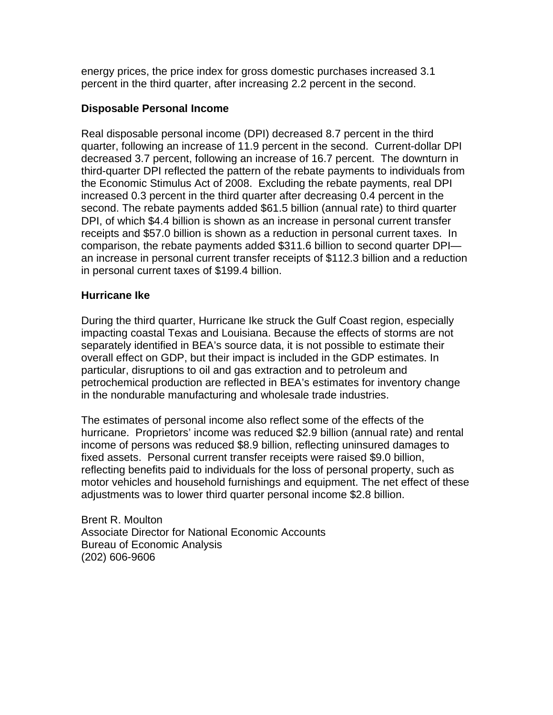energy prices, the price index for gross domestic purchases increased 3.1 percent in the third quarter, after increasing 2.2 percent in the second.

### **Disposable Personal Income**

Real disposable personal income (DPI) decreased 8.7 percent in the third quarter, following an increase of 11.9 percent in the second. Current-dollar DPI decreased 3.7 percent, following an increase of 16.7 percent. The downturn in third-quarter DPI reflected the pattern of the rebate payments to individuals from the Economic Stimulus Act of 2008. Excluding the rebate payments, real DPI increased 0.3 percent in the third quarter after decreasing 0.4 percent in the second. The rebate payments added \$61.5 billion (annual rate) to third quarter DPI, of which \$4.4 billion is shown as an increase in personal current transfer receipts and \$57.0 billion is shown as a reduction in personal current taxes. In comparison, the rebate payments added \$311.6 billion to second quarter DPI an increase in personal current transfer receipts of \$112.3 billion and a reduction in personal current taxes of \$199.4 billion.

## **Hurricane Ike**

During the third quarter, Hurricane Ike struck the Gulf Coast region, especially impacting coastal Texas and Louisiana. Because the effects of storms are not separately identified in BEA's source data, it is not possible to estimate their overall effect on GDP, but their impact is included in the GDP estimates. In particular, disruptions to oil and gas extraction and to petroleum and petrochemical production are reflected in BEA's estimates for inventory change in the nondurable manufacturing and wholesale trade industries.

The estimates of personal income also reflect some of the effects of the hurricane. Proprietors' income was reduced \$2.9 billion (annual rate) and rental income of persons was reduced \$8.9 billion, reflecting uninsured damages to fixed assets. Personal current transfer receipts were raised \$9.0 billion, reflecting benefits paid to individuals for the loss of personal property, such as motor vehicles and household furnishings and equipment. The net effect of these adjustments was to lower third quarter personal income \$2.8 billion.

Brent R. Moulton Associate Director for National Economic Accounts Bureau of Economic Analysis (202) 606-9606